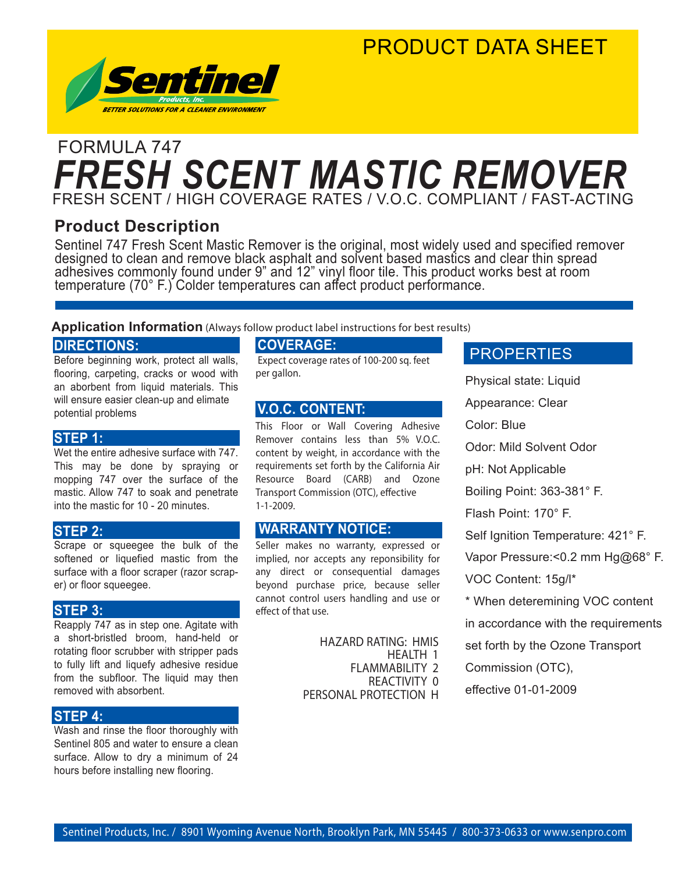### PRODUCT DATA SHEET



### FRESH SCENT / HIGH COVERAGE RATES / V.O.C. COMPLIANT / FAST-ACTING FORMULA 747 *FRESH SCENT MASTIC REMOVER*

### **Product Description**

Sentinel 747 Fresh Scent Mastic Remover is the original, most widely used and specified remover designed to clean and remove black asphalt and solvent based mastics and clear thin spread adhesives commonly found under 9" and 12" vinyl floor tile. This product works best at room temperature (70° F.) Colder temperatures can affect product performance.

#### **Application Information** (Always follow product label instructions for best results)

#### **DIRECTIONS:**

Before beginning work, protect all walls, flooring, carpeting, cracks or wood with an aborbent from liquid materials. This will ensure easier clean-up and elimate potential problems

#### **STEP 1:**

Wet the entire adhesive surface with 747. This may be done by spraying or mopping 747 over the surface of the mastic. Allow 747 to soak and penetrate into the mastic for 10 - 20 minutes.

#### **STEP 2:**

Scrape or squeegee the bulk of the softened or liquefied mastic from the surface with a floor scraper (razor scraper) or floor squeegee.

#### **STEP 3:**

Reapply 747 as in step one. Agitate with a short-bristled broom, hand-held or rotating floor scrubber with stripper pads to fully lift and liquefy adhesive residue from the subfloor. The liquid may then removed with absorbent.

#### **STEP 4:**

Wash and rinse the floor thoroughly with Sentinel 805 and water to ensure a clean surface. Allow to dry a minimum of 24 hours before installing new flooring.

#### **COVERAGE:**

 Expect coverage rates of 100-200 sq. feet per gallon.

#### **V.O.C. CONTENT:**

This Floor or Wall Covering Adhesive Remover contains less than 5% V.O.C. content by weight, in accordance with the requirements set forth by the California Air Resource Board (CARB) and Ozone Transport Commission (OTC), effective 1-1-2009.

#### **WARRANTY NOTICE:**

Seller makes no warranty, expressed or implied, nor accepts any reponsibility for any direct or consequential damages beyond purchase price, because seller cannot control users handling and use or effect of that use.

> HAZARD RATING: HMIS HEALTH 1 FLAMMABILITY 2 REACTIVITY 0 PERSONAL PROTECTION H

#### **PROPERTIES**

Physical state: Liquid Appearance: Clear Color: Blue Odor: Mild Solvent Odor pH: Not Applicable Boiling Point: 363-381° F. Flash Point: 170° F. Self Ignition Temperature: 421° F. Vapor Pressure:< 0.2 mm Hg@68° F. VOC Content: 15g/l\* \* When deteremining VOC content in accordance with the requirements set forth by the Ozone Transport Commission (OTC), effective 01-01-2009